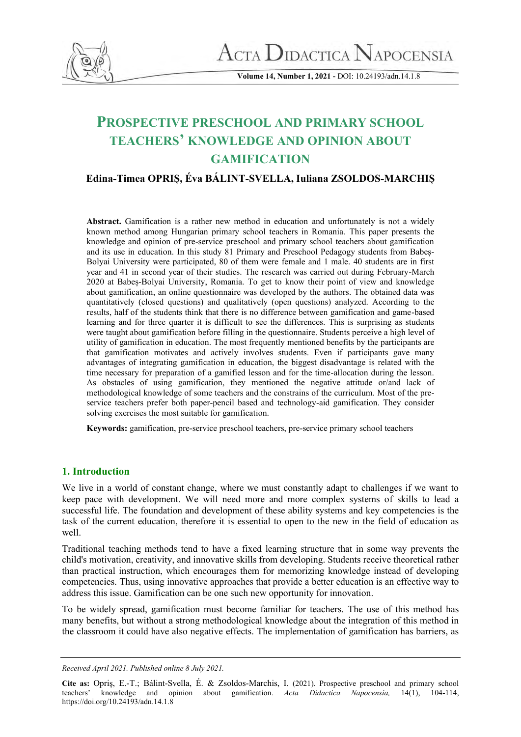

**Volume 14, Number 1, 2021 -** DOI: 10.24193/adn.14.1.8

# **PROSPECTIVE PRESCHOOL AND PRIMARY SCHOOL TEACHERS' KNOWLEDGE AND OPINION ABOUT GAMIFICATION**

**Edina-Timea OPRIȘ, Éva BÁLINT-SVELLA, Iuliana ZSOLDOS-MARCHIȘ**

**Abstract.** Gamification is a rather new method in education and unfortunately is not a widely known method among Hungarian primary school teachers in Romania. This paper presents the knowledge and opinion of pre-service preschool and primary school teachers about gamification and its use in education. In this study 81 Primary and Preschool Pedagogy students from Babeș-Bolyai University were participated, 80 of them were female and 1 male. 40 students are in first year and 41 in second year of their studies. The research was carried out during February-March 2020 at Babeș-Bolyai University, Romania. To get to know their point of view and knowledge about gamification, an online questionnaire was developed by the authors. The obtained data was quantitatively (closed questions) and qualitatively (open questions) analyzed. According to the results, half of the students think that there is no difference between gamification and game-based learning and for three quarter it is difficult to see the differences. This is surprising as students were taught about gamification before filling in the questionnaire. Students perceive a high level of utility of gamification in education. The most frequently mentioned benefits by the participants are that gamification motivates and actively involves students. Even if participants gave many advantages of integrating gamification in education, the biggest disadvantage is related with the time necessary for preparation of a gamified lesson and for the time-allocation during the lesson. As obstacles of using gamification, they mentioned the negative attitude or/and lack of methodological knowledge of some teachers and the constrains of the curriculum. Most of the preservice teachers prefer both paper-pencil based and technology-aid gamification. They consider solving exercises the most suitable for gamification.

**Keywords:** gamification, pre-service preschool teachers, pre-service primary school teachers

### **1. Introduction**

We live in a world of constant change, where we must constantly adapt to challenges if we want to keep pace with development. We will need more and more complex systems of skills to lead a successful life. The foundation and development of these ability systems and key competencies is the task of the current education, therefore it is essential to open to the new in the field of education as well

Traditional teaching methods tend to have a fixed learning structure that in some way prevents the child's motivation, creativity, and innovative skills from developing. Students receive theoretical rather than practical instruction, which encourages them for memorizing knowledge instead of developing competencies. Thus, using innovative approaches that provide a better education is an effective way to address this issue. Gamification can be one such new opportunity for innovation.

To be widely spread, gamification must become familiar for teachers. The use of this method has many benefits, but without a strong methodological knowledge about the integration of this method in the classroom it could have also negative effects. The implementation of gamification has barriers, as

*Received April 2021. Published online 8 July 2021.*

**Cite as:** Opriș, E.-T.; Bálint-Svella, É. & Zsoldos-Marchis, I. (2021). Prospective preschool and primary school teachers' knowledge and opinion about gamification. *Acta Didactica Napocensia,* 14(1), 104-114, <https://doi.org/10.24193/adn.14.1.8>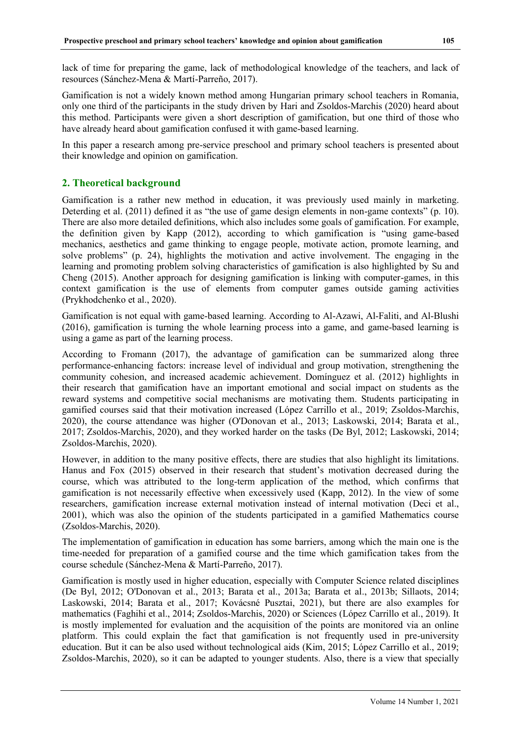lack of time for preparing the game, lack of methodological knowledge of the teachers, and lack of resources (Sánchez-Mena & Martí-Parreño, 2017).

Gamification is not a widely known method among Hungarian primary school teachers in Romania, only one third of the participants in the study driven by Hari and Zsoldos-Marchis (2020) heard about this method. Participants were given a short description of gamification, but one third of those who have already heard about gamification confused it with game-based learning.

In this paper a research among pre-service preschool and primary school teachers is presented about their knowledge and opinion on gamification.

#### **2. Theoretical background**

Gamification is a rather new method in education, it was previously used mainly in marketing. Deterding et al. (2011) defined it as "the use of game design elements in non-game contexts" (p. 10). There are also more detailed definitions, which also includes some goals of gamification. For example, the definition given by Kapp (2012), according to which gamification is "using game-based mechanics, aesthetics and game thinking to engage people, motivate action, promote learning, and solve problems" (p. 24), highlights the motivation and active involvement. The engaging in the learning and promoting problem solving characteristics of gamification is also highlighted by Su and Cheng (2015). Another approach for designing gamification is linking with computer-games, in this context gamification is the use of elements from computer games outside gaming activities (Prykhodchenko et al., 2020).

Gamification is not equal with game-based learning. According to Al-Azawi, Al-Faliti, and Al-Blushi (2016), gamification is turning the whole learning process into a game, and game-based learning is using a game as part of the learning process.

According to Fromann (2017), the advantage of gamification can be summarized along three performance-enhancing factors: increase level of individual and group motivation, strengthening the community cohesion, and increased academic achievement. Domínguez et al. (2012) highlights in their research that gamification have an important emotional and social impact on students as the reward systems and competitive social mechanisms are motivating them. Students participating in gamified courses said that their motivation increased (López Carrillo et al., 2019; Zsoldos-Marchis, 2020), the course attendance was higher (O'Donovan et al., 2013; Laskowski, 2014; Barata et al., 2017; Zsoldos-Marchis, 2020), and they worked harder on the tasks (De Byl, 2012; Laskowski, 2014; Zsoldos-Marchis, 2020).

However, in addition to the many positive effects, there are studies that also highlight its limitations. Hanus and Fox (2015) observed in their research that student's motivation decreased during the course, which was attributed to the long-term application of the method, which confirms that gamification is not necessarily effective when excessively used (Kapp, 2012). In the view of some researchers, gamification increase external motivation instead of internal motivation (Deci et al., 2001), which was also the opinion of the students participated in a gamified Mathematics course (Zsoldos-Marchis, 2020).

The implementation of gamification in education has some barriers, among which the main one is the time-needed for preparation of a gamified course and the time which gamification takes from the course schedule (Sánchez-Mena & Martí-Parreño, 2017).

Gamification is mostly used in higher education, especially with Computer Science related disciplines (De Byl, 2012; O'Donovan et al., 2013; Barata et al., 2013a; Barata et al., 2013b; Sillaots, 2014; Laskowski, 2014; Barata et al., 2017; Kovácsné Pusztai, 2021), but there are also examples for mathematics (Faghihi et al., 2014; Zsoldos-Marchis, 2020) or Sciences (López Carrillo et al., 2019). It is mostly implemented for evaluation and the acquisition of the points are monitored via an online platform. This could explain the fact that gamification is not frequently used in pre-university education. But it can be also used without technological aids (Kim, 2015; López Carrillo et al., 2019; Zsoldos-Marchis, 2020), so it can be adapted to younger students. Also, there is a view that specially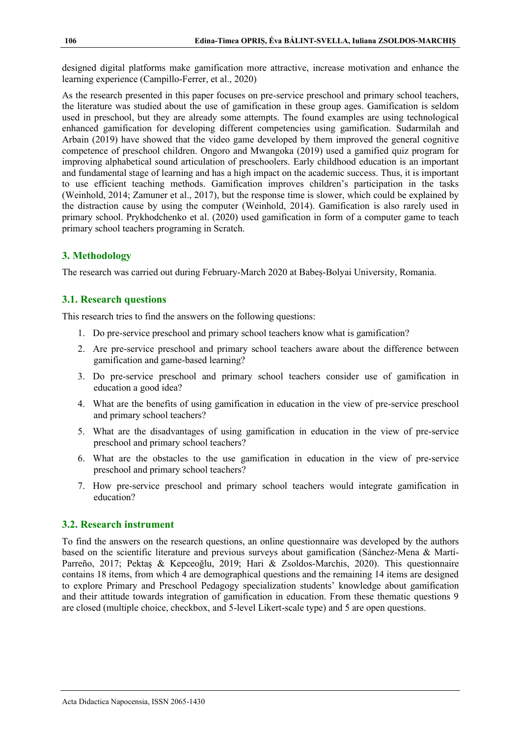designed digital platforms make gamification more attractive, increase motivation and enhance the learning experience (Campillo-Ferrer, et al., 2020)

As the research presented in this paper focuses on pre-service preschool and primary school teachers, the literature was studied about the use of gamification in these group ages. Gamification is seldom used in preschool, but they are already some attempts. The found examples are using technological enhanced gamification for developing different competencies using gamification. Sudarmilah and Arbain (2019) have showed that the video game developed by them improved the general cognitive competence of preschool children. Ongoro and Mwangoka (2019) used a gamified quiz program for improving alphabetical sound articulation of preschoolers. Early childhood education is an important and fundamental stage of learning and has a high impact on the academic success. Thus, it is important to use efficient teaching methods. Gamification improves children's participation in the tasks (Weinhold, 2014; Zamuner et al., 2017), but the response time is slower, which could be explained by the distraction cause by using the computer (Weinhold, 2014). Gamification is also rarely used in primary school. Prykhodchenko et al. (2020) used gamification in form of a computer game to teach primary school teachers programing in Scratch.

# **3. Methodology**

The research was carried out during February-March 2020 at Babeș-Bolyai University, Romania.

# **3.1. Research questions**

This research tries to find the answers on the following questions:

- 1. Do pre-service preschool and primary school teachers know what is gamification?
- 2. Are pre-service preschool and primary school teachers aware about the difference between gamification and game-based learning?
- 3. Do pre-service preschool and primary school teachers consider use of gamification in education a good idea?
- 4. What are the benefits of using gamification in education in the view of pre-service preschool and primary school teachers?
- 5. What are the disadvantages of using gamification in education in the view of pre-service preschool and primary school teachers?
- 6. What are the obstacles to the use gamification in education in the view of pre-service preschool and primary school teachers?
- 7. How pre-service preschool and primary school teachers would integrate gamification in education?

### **3.2. Research instrument**

To find the answers on the research questions, an online questionnaire was developed by the authors based on the scientific literature and previous surveys about gamification (Sánchez-Mena & Martí-Parreño, 2017; Pektaş & Kepceoğlu, 2019; Hari & Zsoldos-Marchis, 2020). This questionnaire contains 18 items, from which 4 are demographical questions and the remaining 14 items are designed to explore Primary and Preschool Pedagogy specialization students' knowledge about gamification and their attitude towards integration of gamification in education. From these thematic questions 9 are closed (multiple choice, checkbox, and 5-level Likert-scale type) and 5 are open questions.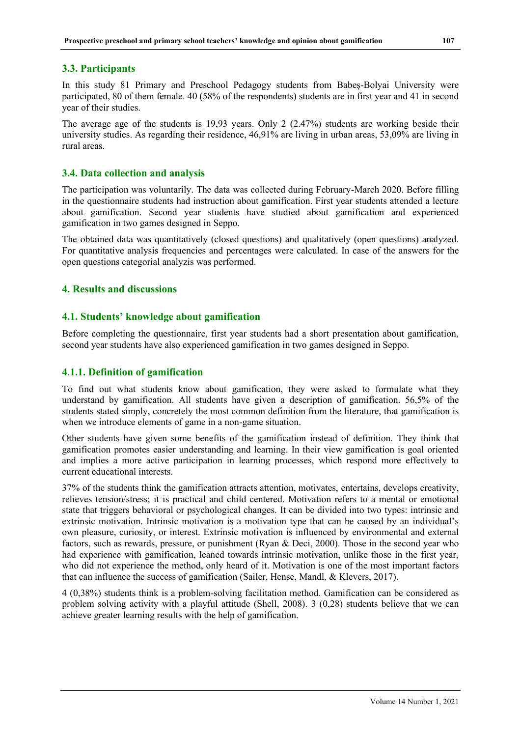# **3.3. Participants**

In this study 81 Primary and Preschool Pedagogy students from Babeș-Bolyai University were participated, 80 of them female. 40 (58% of the respondents) students are in first year and 41 in second year of their studies.

The average age of the students is 19,93 years. Only 2 (2.47%) students are working beside their university studies. As regarding their residence, 46,91% are living in urban areas, 53,09% are living in rural areas.

# **3.4. Data collection and analysis**

The participation was voluntarily. The data was collected during February-March 2020. Before filling in the questionnaire students had instruction about gamification. First year students attended a lecture about gamification. Second year students have studied about gamification and experienced gamification in two games designed in Seppo.

The obtained data was quantitatively (closed questions) and qualitatively (open questions) analyzed. For quantitative analysis frequencies and percentages were calculated. In case of the answers for the open questions categorial analyzis was performed.

# **4. Results and discussions**

# **4.1. Students' knowledge about gamification**

Before completing the questionnaire, first year students had a short presentation about gamification, second year students have also experienced gamification in two games designed in Seppo.

# **4.1.1. Definition of gamification**

To find out what students know about gamification, they were asked to formulate what they understand by gamification. All students have given a description of gamification. 56,5% of the students stated simply, concretely the most common definition from the literature, that gamification is when we introduce elements of game in a non-game situation.

Other students have given some benefits of the gamification instead of definition. They think that gamification promotes easier understanding and learning. In their view gamification is goal oriented and implies a more active participation in learning processes, which respond more effectively to current educational interests.

37% of the students think the gamification attracts attention, motivates, entertains, develops creativity, relieves tension/stress; it is practical and child centered. Motivation refers to a mental or emotional state that triggers behavioral or psychological changes. It can be divided into two types: intrinsic and extrinsic motivation. Intrinsic motivation is a motivation type that can be caused by an individual's own pleasure, curiosity, or interest. Extrinsic motivation is influenced by environmental and external factors, such as rewards, pressure, or punishment (Ryan & Deci, 2000). Those in the second year who had experience with gamification, leaned towards intrinsic motivation, unlike those in the first year, who did not experience the method, only heard of it. Motivation is one of the most important factors that can influence the success of gamification (Sailer, Hense, Mandl, & Klevers, 2017).

4 (0,38%) students think is a problem-solving facilitation method. Gamification can be considered as problem solving activity with a playful attitude (Shell, 2008). 3 (0,28) students believe that we can achieve greater learning results with the help of gamification.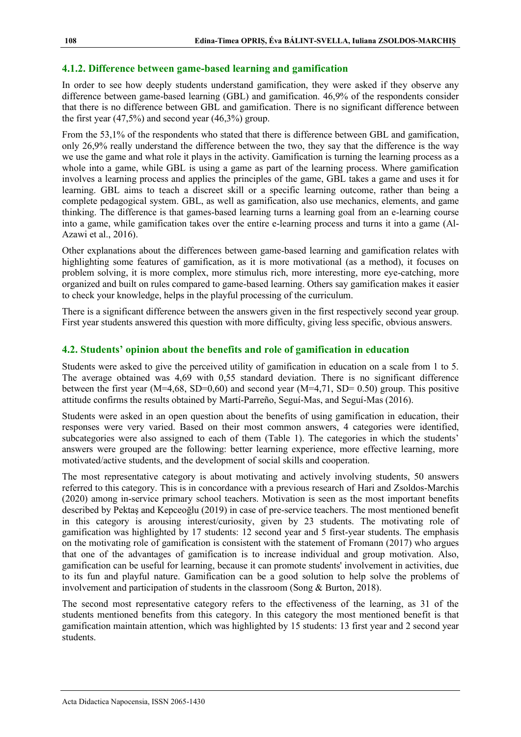#### **4.1.2. Difference between game-based learning and gamification**

In order to see how deeply students understand gamification, they were asked if they observe any difference between game-based learning (GBL) and gamification. 46,9% of the respondents consider that there is no difference between GBL and gamification. There is no significant difference between the first year  $(47,5\%)$  and second year  $(46,3\%)$  group.

From the 53,1% of the respondents who stated that there is difference between GBL and gamification, only 26,9% really understand the difference between the two, they say that the difference is the way we use the game and what role it plays in the activity. Gamification is turning the learning process as a whole into a game, while GBL is using a game as part of the learning process. Where gamification involves a learning process and applies the principles of the game, GBL takes a game and uses it for learning. GBL aims to teach a discreet skill or a specific learning outcome, rather than being a complete pedagogical system. GBL, as well as gamification, also use mechanics, elements, and game thinking. The difference is that games-based learning turns a learning goal from an e-learning course into a game, while gamification takes over the entire e-learning process and turns it into a game (Al-Azawi et al., 2016).

Other explanations about the differences between game-based learning and gamification relates with highlighting some features of gamification, as it is more motivational (as a method), it focuses on problem solving, it is more complex, more stimulus rich, more interesting, more eye-catching, more organized and built on rules compared to game-based learning. Others say gamification makes it easier to check your knowledge, helps in the playful processing of the curriculum.

There is a significant difference between the answers given in the first respectively second year group. First year students answered this question with more difficulty, giving less specific, obvious answers.

### **4.2. Students' opinion about the benefits and role of gamification in education**

Students were asked to give the perceived utility of gamification in education on a scale from 1 to 5. The average obtained was 4,69 with 0,55 standard deviation. There is no significant difference between the first year (M=4,68, SD=0,60) and second year (M=4,71, SD= 0.50) group. This positive attitude confirms the results obtained by Martí-Parreño, Seguí-Mas, and Seguí-Mas (2016).

Students were asked in an open question about the benefits of using gamification in education, their responses were very varied. Based on their most common answers, 4 categories were identified, subcategories were also assigned to each of them (Table 1). The categories in which the students' answers were grouped are the following: better learning experience, more effective learning, more motivated/active students, and the development of social skills and cooperation.

The most representative category is about motivating and actively involving students, 50 answers referred to this category. This is in concordance with a previous research of Hari and Zsoldos-Marchis (2020) among in-service primary school teachers. Motivation is seen as the most important benefits described by Pektaş and Kepceoğlu (2019) in case of pre-service teachers. The most mentioned benefit in this category is arousing interest/curiosity, given by 23 students. The motivating role of gamification was highlighted by 17 students: 12 second year and 5 first-year students. The emphasis on the motivating role of gamification is consistent with the statement of Fromann (2017) who argues that one of the advantages of gamification is to increase individual and group motivation. Also, gamification can be useful for learning, because it can promote students' involvement in activities, due to its fun and playful nature. Gamification can be a good solution to help solve the problems of involvement and participation of students in the classroom (Song & Burton, 2018).

The second most representative category refers to the effectiveness of the learning, as 31 of the students mentioned benefits from this category. In this category the most mentioned benefit is that gamification maintain attention, which was highlighted by 15 students: 13 first year and 2 second year students.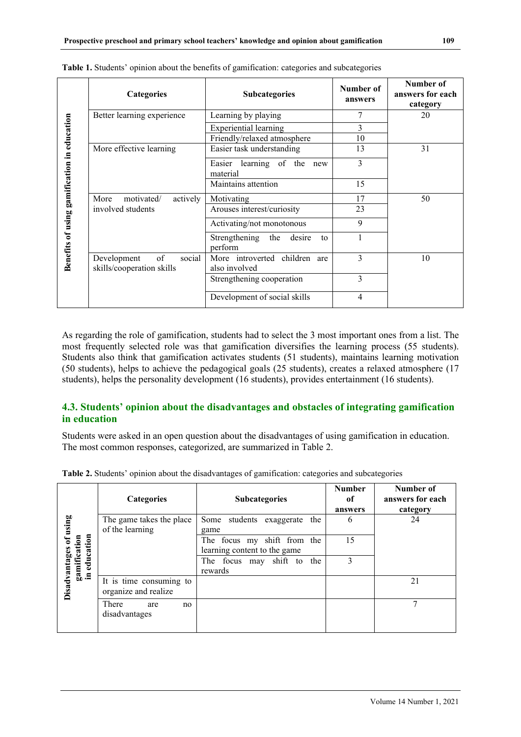|                                             | Categories                                               | <b>Subcategories</b>                              | Number of<br>answers | Number of<br>answers for each<br>category |
|---------------------------------------------|----------------------------------------------------------|---------------------------------------------------|----------------------|-------------------------------------------|
|                                             | Better learning experience                               | Learning by playing                               | 7                    | 20                                        |
|                                             |                                                          | <b>Experiential learning</b>                      | 3                    |                                           |
|                                             |                                                          | Friendly/relaxed atmosphere                       | 10                   |                                           |
|                                             | More effective learning                                  | Easier task understanding                         | 13                   | 31                                        |
|                                             |                                                          | learning of the<br>Easier<br>new<br>material      | 3                    |                                           |
|                                             |                                                          | Maintains attention                               | 15                   |                                           |
|                                             | motivated/<br>actively<br>More                           | Motivating                                        | 17                   | 50                                        |
|                                             | involved students                                        | Arouses interest/curiosity                        | 23                   |                                           |
|                                             |                                                          | Activating/not monotonous                         | 9                    |                                           |
| Benefits of using gamification in education |                                                          | Strengthening<br>the<br>desire<br>to<br>perform   |                      |                                           |
|                                             | of<br>social<br>Development<br>skills/cooperation skills | More introverted children<br>are<br>also involved | 3                    | 10                                        |
|                                             |                                                          | Strengthening cooperation                         | 3                    |                                           |
|                                             |                                                          | Development of social skills                      | 4                    |                                           |

|  | Table 1. Students' opinion about the benefits of gamification: categories and subcategories |  |
|--|---------------------------------------------------------------------------------------------|--|
|  |                                                                                             |  |

As regarding the role of gamification, students had to select the 3 most important ones from a list. The most frequently selected role was that gamification diversifies the learning process (55 students). Students also think that gamification activates students (51 students), maintains learning motivation (50 students), helps to achieve the pedagogical goals (25 students), creates a relaxed atmosphere (17 students), helps the personality development (16 students), provides entertainment (16 students).

# **4.3. Students' opinion about the disadvantages and obstacles of integrating gamification in education**

Students were asked in an open question about the disadvantages of using gamification in education. The most common responses, categorized, are summarized in Table 2.

|                                           | Categories                                      | <b>Subcategories</b>                                        | <b>Number</b><br>of<br>answers | Number of<br>answers for each<br>category |
|-------------------------------------------|-------------------------------------------------|-------------------------------------------------------------|--------------------------------|-------------------------------------------|
| of using                                  | The game takes the place<br>of the learning     | Some<br>students<br>exaggerate<br>the<br>game               | 6                              | 24                                        |
| education<br>gamification<br>in education |                                                 | The focus my shift from the<br>learning content to the game | 15                             |                                           |
|                                           |                                                 | shift to<br>The focus may<br>the<br>rewards                 | 3                              |                                           |
| Disadvantages                             | It is time consuming to<br>organize and realize |                                                             |                                | 21                                        |
|                                           | There<br>are<br>no<br>disadvantages             |                                                             |                                | ┑                                         |

**Table 2.** Students' opinion about the disadvantages of gamification: categories and subcategories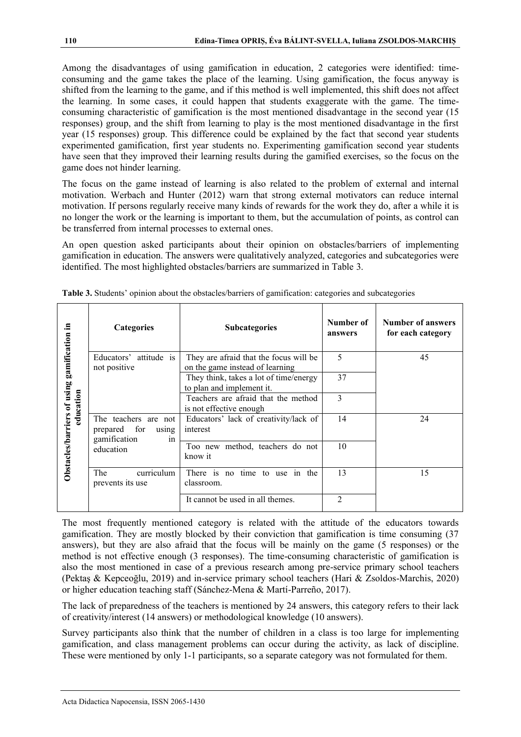Among the disadvantages of using gamification in education, 2 categories were identified: timeconsuming and the game takes the place of the learning. Using gamification, the focus anyway is shifted from the learning to the game, and if this method is well implemented, this shift does not affect the learning. In some cases, it could happen that students exaggerate with the game. The timeconsuming characteristic of gamification is the most mentioned disadvantage in the second year (15 responses) group, and the shift from learning to play is the most mentioned disadvantage in the first year (15 responses) group. This difference could be explained by the fact that second year students experimented gamification, first year students no. Experimenting gamification second year students have seen that they improved their learning results during the gamified exercises, so the focus on the game does not hinder learning.

The focus on the game instead of learning is also related to the problem of external and internal motivation. Werbach and Hunter (2012) warn that strong external motivators can reduce internal motivation. If persons regularly receive many kinds of rewards for the work they do, after a while it is no longer the work or the learning is important to them, but the accumulation of points, as control can be transferred from internal processes to external ones.

An open question asked participants about their opinion on obstacles/barriers of implementing gamification in education. The answers were qualitatively analyzed, categories and subcategories were identified. The most highlighted obstacles/barriers are summarized in Table 3.

|                                                          | Categories                                                          | <b>Subcategories</b>                                                      | Number of<br>answers | Number of answers<br>for each category |
|----------------------------------------------------------|---------------------------------------------------------------------|---------------------------------------------------------------------------|----------------------|----------------------------------------|
|                                                          | Educators' attitude is<br>not positive                              | They are afraid that the focus will be<br>on the game instead of learning | 5                    | 45                                     |
| Obstacles/barriers of using gamification in<br>education |                                                                     | They think, takes a lot of time/energy<br>to plan and implement it.       | 37                   |                                        |
|                                                          |                                                                     | Teachers are afraid that the method<br>is not effective enough            | 3                    |                                        |
|                                                          | The teachers are not<br>prepared for<br>using<br>gamification<br>in | Educators' lack of creativity/lack of<br>interest                         | 14                   | 24                                     |
|                                                          | education                                                           | Too new method, teachers do not<br>know it                                | 10                   |                                        |
|                                                          | curriculum<br>The<br>prevents its use                               | There is no<br>time to use in the<br>classroom.                           | 13                   | 15                                     |
|                                                          |                                                                     | It cannot be used in all themes.                                          | $\overline{2}$       |                                        |

| Table 3. Students' opinion about the obstacles/barriers of gamification: categories and subcategories |  |  |  |
|-------------------------------------------------------------------------------------------------------|--|--|--|
|                                                                                                       |  |  |  |

The most frequently mentioned category is related with the attitude of the educators towards gamification. They are mostly blocked by their conviction that gamification is time consuming (37 answers), but they are also afraid that the focus will be mainly on the game (5 responses) or the method is not effective enough (3 responses). The time-consuming characteristic of gamification is also the most mentioned in case of a previous research among pre-service primary school teachers (Pektaş & Kepceoğlu, 2019) and in-service primary school teachers (Hari & Zsoldos-Marchis, 2020) or higher education teaching staff (Sánchez-Mena & Martí-Parreño, 2017).

The lack of preparedness of the teachers is mentioned by 24 answers, this category refers to their lack of creativity/interest (14 answers) or methodological knowledge (10 answers).

Survey participants also think that the number of children in a class is too large for implementing gamification, and class management problems can occur during the activity, as lack of discipline. These were mentioned by only 1-1 participants, so a separate category was not formulated for them.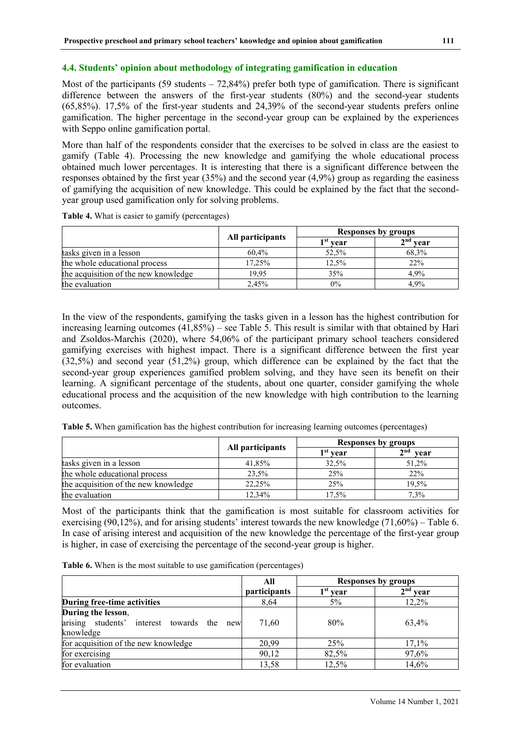#### **4.4. Students' opinion about methodology of integrating gamification in education**

Most of the participants  $(59 \text{ students} - 72,84\%)$  prefer both type of gamification. There is significant difference between the answers of the first-year students (80%) and the second-year students (65,85%). 17,5% of the first-year students and 24,39% of the second-year students prefers online gamification. The higher percentage in the second-year group can be explained by the experiences with Seppo online gamification portal.

More than half of the respondents consider that the exercises to be solved in class are the easiest to gamify (Table 4). Processing the new knowledge and gamifying the whole educational process obtained much lower percentages. It is interesting that there is a significant difference between the responses obtained by the first year (35%) and the second year (4,9%) group as regarding the easiness of gamifying the acquisition of new knowledge. This could be explained by the fact that the secondyear group used gamification only for solving problems.

**Table 4.** What is easier to gamify (percentages)

|                                      |                  |                      | Responses by groups |
|--------------------------------------|------------------|----------------------|---------------------|
|                                      | All participants | 1 <sup>st</sup> vear | $2nd$ year          |
| tasks given in a lesson              | 60.4%            | 52,5%                | 68,3%               |
| the whole educational process        | 17.25%           | 12,5%                | 22%                 |
| the acquisition of the new knowledge | 19.95            | 35%                  | 4.9%                |
| the evaluation                       | 2.45%            | $0\%$                | 4.9%                |

In the view of the respondents, gamifying the tasks given in a lesson has the highest contribution for increasing learning outcomes (41,85%) – see Table 5. This result is similar with that obtained by Hari and Zsoldos-Marchis (2020), where 54,06% of the participant primary school teachers considered gamifying exercises with highest impact. There is a significant difference between the first year (32,5%) and second year (51,2%) group, which difference can be explained by the fact that the second-year group experiences gamified problem solving, and they have seen its benefit on their learning. A significant percentage of the students, about one quarter, consider gamifying the whole educational process and the acquisition of the new knowledge with high contribution to the learning outcomes.

|  |  |  |  | Table 5. When gamification has the highest contribution for increasing learning outcomes (percentages) |
|--|--|--|--|--------------------------------------------------------------------------------------------------------|
|  |  |  |  |                                                                                                        |
|  |  |  |  |                                                                                                        |

|                                      |                  | Responses by groups  |             |  |
|--------------------------------------|------------------|----------------------|-------------|--|
|                                      | All participants | 1 <sup>st</sup> vear | 2nd<br>vear |  |
| tasks given in a lesson              | 41,85%           | 32,5%                | 51,2%       |  |
| the whole educational process        | 23,5%            | 25%                  | 22%         |  |
| the acquisition of the new knowledge | 22,25%           | 25%                  | 19.5%       |  |
| the evaluation                       | 12.34%           | 17,5%                | 7.3%        |  |

Most of the participants think that the gamification is most suitable for classroom activities for exercising (90,12%), and for arising students' interest towards the new knowledge (71,60%) – Table 6. In case of arising interest and acquisition of the new knowledge the percentage of the first-year group is higher, in case of exercising the percentage of the second-year group is higher.

**Table 6.** When is the most suitable to use gamification (percentages)

|                                                                                     | All                 |            | <b>Responses by groups</b> |
|-------------------------------------------------------------------------------------|---------------------|------------|----------------------------|
|                                                                                     | <i>participants</i> | $1st$ year | $2nd$ year                 |
| During free-time activities                                                         | 8,64                | $5\%$      | 12.2%                      |
| During the lesson,<br>arising<br>students' interest towards the<br>new<br>knowledge | 71.60               | 80%        | 63.4%                      |
| for acquisition of the new knowledge                                                | 20,99               | 25%        | 17,1%                      |
| for exercising                                                                      | 90,12               | 82,5%      | 97,6%                      |
| for evaluation                                                                      | 13,58               | 12,5%      | 14,6%                      |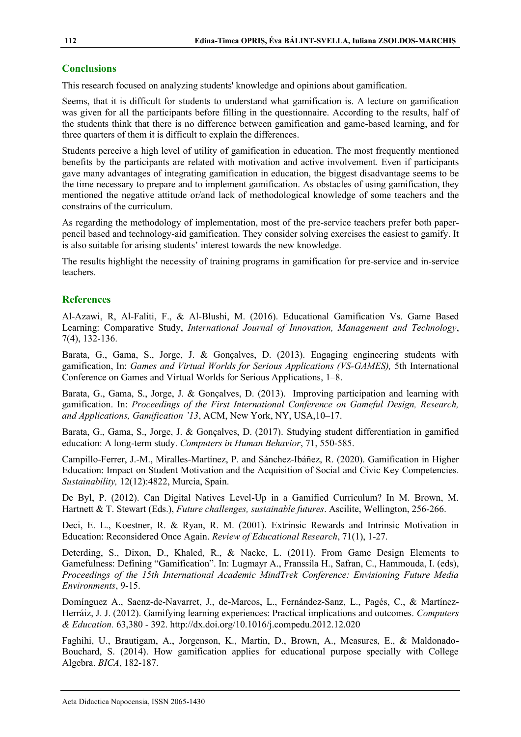#### **Conclusions**

This research focused on analyzing students' knowledge and opinions about gamification.

Seems, that it is difficult for students to understand what gamification is. A lecture on gamification was given for all the participants before filling in the questionnaire. According to the results, half of the students think that there is no difference between gamification and game-based learning, and for three quarters of them it is difficult to explain the differences.

Students perceive a high level of utility of gamification in education. The most frequently mentioned benefits by the participants are related with motivation and active involvement. Even if participants gave many advantages of integrating gamification in education, the biggest disadvantage seems to be the time necessary to prepare and to implement gamification. As obstacles of using gamification, they mentioned the negative attitude or/and lack of methodological knowledge of some teachers and the constrains of the curriculum.

As regarding the methodology of implementation, most of the pre-service teachers prefer both paperpencil based and technology-aid gamification. They consider solving exercises the easiest to gamify. It is also suitable for arising students' interest towards the new knowledge.

The results highlight the necessity of training programs in gamification for pre-service and in-service teachers.

### **References**

Al-Azawi, R, Al-Faliti, F., & Al-Blushi, M. (2016). Educational Gamification Vs. Game Based Learning: Comparative Study, *International Journal of Innovation, Management and Technology*, 7(4), 132-136.

Barata, G., Gama, S., Jorge, J. & Gonçalves, D. (2013). Engaging engineering students with gamification, In: *Games and Virtual Worlds for Serious Applications (VS-GAMES),* 5th International Conference on Games and Virtual Worlds for Serious Applications, 1–8.

Barata, G., Gama, S., Jorge, J. & Gonçalves, D. (2013). Improving participation and learning with gamification. In: *Proceedings of the First International Conference on Gameful Design, Research, and Applications, Gamification '13*, ACM, New York, NY, USA,10–17.

Barata, G., Gama, S., Jorge, J. & Gonçalves, D. (2017). Studying student differentiation in gamified education: A long-term study. *Computers in Human Behavior*, 71, 550-585.

Campillo-Ferrer, J.-M., Miralles-Martínez, P. and Sánchez-Ibáñez, R. (2020). Gamification in Higher Education: Impact on Student Motivation and the Acquisition of Social and Civic Key Competencies. *Sustainability,* 12(12):4822, Murcia, Spain.

De Byl, P. (2012). Can Digital Natives Level-Up in a Gamified Curriculum? In M. Brown, M. Hartnett & T. Stewart (Eds.), *Future challenges, sustainable futures*. Ascilite, Wellington, 256-266.

Deci, E. L., Koestner, R. & Ryan, R. M. (2001). Extrinsic Rewards and Intrinsic Motivation in Education: Reconsidered Once Again. *Review of Educational Research*, 71(1), 1-27.

Deterding, S., Dixon, D., Khaled, R., & Nacke, L. (2011). From Game Design Elements to Gamefulness: Defining "Gamification". In: Lugmayr A., Franssila H., Safran, C., Hammouda, I. (eds), *Proceedings of the 15th International Academic MindTrek Conference: Envisioning Future Media Environments*, 9-15.

Domínguez A., Saenz-de-Navarret, J., de-Marcos, L., Fernández-Sanz, L., Pagés, C., & Martínez-Herráiz, J. J. (2012). Gamifying learning experiences: Practical implications and outcomes. *Computers & Education.* 63,380 - 392.<http://dx.doi.org/10.1016/j.compedu.2012.12.020>

Faghihi, U., Brautigam, A., Jorgenson, K., Martin, D., Brown, A., Measures, E., & Maldonado-Bouchard, S. (2014). How gamification applies for educational purpose specially with College Algebra. *BICA*, 182-187.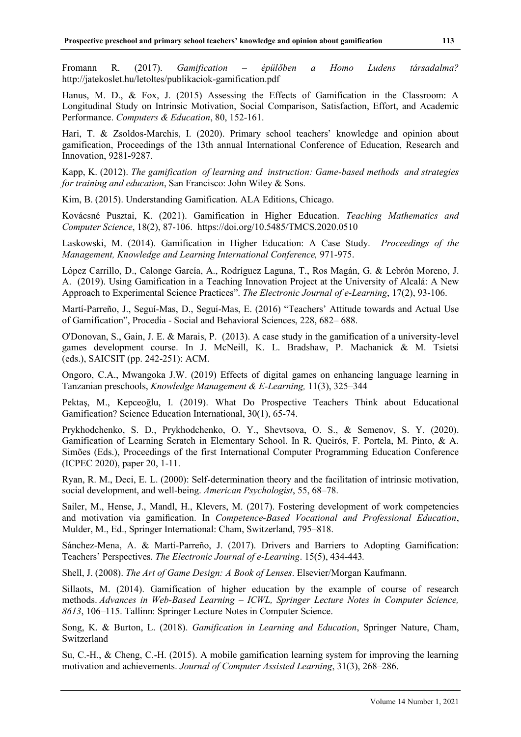Fromann R. (2017). *Gamification – épülőben a Homo Ludens társadalma?* http://jatekoslet.hu/letoltes/publikaciok-gamification.pdf

Hanus, M. D., & Fox, J. (2015) Assessing the Effects of Gamification in the Classroom: A Longitudinal Study on Intrinsic Motivation, Social Comparison, Satisfaction, Effort, and Academic Performance. *Computers & Education*, 80, 152-161.

Hari, T. & Zsoldos-Marchis, I. (2020). Primary school teachers' knowledge and opinion about gamification, Proceedings of the 13th annual International Conference of Education, Research and Innovation, 9281-9287.

Kapp, K. (2012). *The gamification of learning and instruction: Game-based methods and strategies for training and education*, San Francisco: John Wiley & Sons.

Kim, B. (2015). Understanding Gamification. ALA Editions, Chicago.

Kovácsné Pusztai, K. (2021). Gamification in Higher Education. *Teaching Mathematics and Computer Science*, 18(2), 87-106. [https://doi.org/1](https://doi.org/10.24193/adn.13.2.2)0.5485/TMCS.2020.0510

Laskowski, M. (2014). Gamification in Higher Education: A Case Study. *Proceedings of the Management, Knowledge and Learning International Conference,* 971-975.

López Carrillo, D., Calonge García, A., Rodríguez Laguna, T., Ros Magán, G. & Lebrón Moreno, J. A. (2019). Using Gamification in a Teaching Innovation Project at the University of Alcalá: A New Approach to Experimental Science Practices". *The Electronic Journal of e-Learning*, 17(2), 93-106.

Martí-Parreño, J., Seguí-Mas, D., Seguí-Mas, E. (2016) "Teachers' Attitude towards and Actual Use of Gamification", Procedia - Social and Behavioral Sciences, 228, 682– 688.

O'Donovan, S., Gain, J. E. & Marais, P. (2013). A case study in the gamification of a university-level games development course. In J. McNeill, K. L. Bradshaw, P. Machanick & M. Tsietsi (eds.), SAICSIT (pp. 242-251): ACM.

Ongoro, C.A., Mwangoka J.W. (2019) Effects of digital games on enhancing language learning in Tanzanian preschools, *Knowledge Management & E-Learning,* 11(3), 325–344

Pektaş, M., Kepceoğlu, I. (2019). What Do Prospective Teachers Think about Educational Gamification? Science Education International, 30(1), 65-74.

Prykhodchenko, S. D., Prykhodchenko, O. Y., Shevtsova, O. S., & Semenov, S. Y. (2020). Gamification of Learning Scratch in Elementary School. In R. Queirós, F. Portela, M. Pinto, & A. Simões (Eds.), Proceedings of the first International Computer Programming Education Conference (ICPEC 2020), paper 20, 1-11.

Ryan, R. M., Deci, E. L. (2000): Self-determination theory and the facilitation of intrinsic motivation, social development, and well-being. *American Psychologist*, 55, 68–78.

Sailer, M., Hense, J., Mandl, H., Klevers, M. (2017). Fostering development of work competencies and motivation via gamification. In *Competence-Based Vocational and Professional Education*, Mulder, M., Ed., Springer International: Cham, Switzerland, 795–818.

Sánchez-Mena, A. & Martí-Parreño, J. (2017). Drivers and Barriers to Adopting Gamification: Teachers' Perspectives. *The Electronic Journal of e-Learning*. 15(5), 434-443*.*

Shell, J. (2008). *The Art of Game Design: A Book of Lenses*. Elsevier/Morgan Kaufmann.

Sillaots, M. (2014). Gamification of higher education by the example of course of research methods. *Advances in Web-Based Learning – ICWL, Springer Lecture Notes in Computer Science, 8613*, 106–115. Tallinn: Springer Lecture Notes in Computer Science.

Song, K. & Burton, L. (2018). *Gamification in Learning and Education*, Springer Nature, Cham, Switzerland

Su, C.-H., & Cheng, C.-H. (2015). A mobile gamification learning system for improving the learning motivation and achievements. *Journal of Computer Assisted Learning*, 31(3), 268–286.